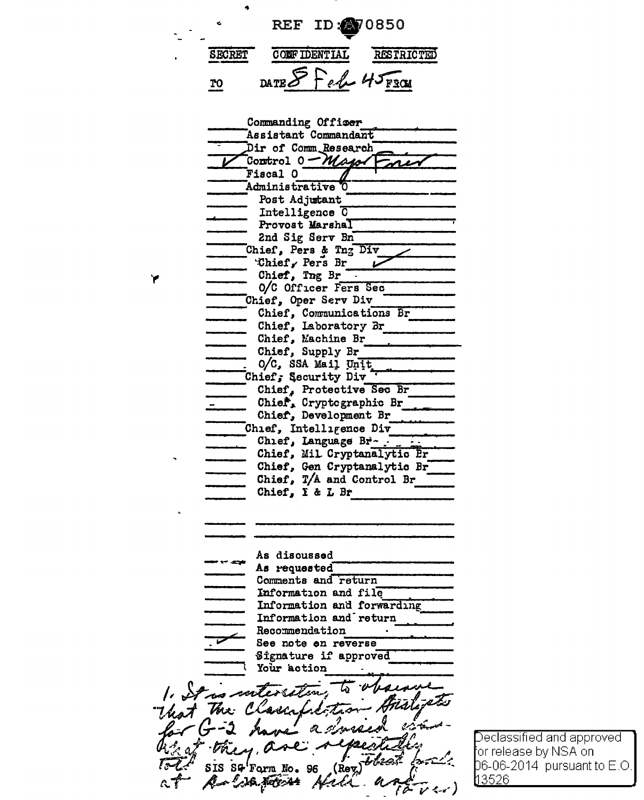REF ID: 2070850 **SECRET CONFIDENTIAL RESTRICTED** da te S Feb 45 F301 T<sub>O</sub>

Commanding Offiser Assistant Commandant Dir of Comm Research Control 0 - Major Fiscal O Administrative 0 Post Adjutant Intelligence O Provost Marshal 2nd Sig Serv Bn Chief, Pers & Tng Div Chief, Pers Br Chief, Ing Br . 0/C Officer Fers Sec Chief, Oper Serv Div Chief, Communications Br Chief, Laboratory Br Chief, Machine Br Chief, Supply Br O/C, SSA Mail Unit Chief, Security Div Chief, Protective Sec Br Chief, Cryptographic Br Chief, Development Br Chief, Intelligence Div Chief, Language Br-Chief, Mil Cryptanalytic Pr Chief, Gen Cryptanalytic Br Chief, T/A and Control Br Chief, I & L Br As discussed As requested Comments and return Information and file Information and forwarding Information and return Recommendation See note on reverse Signature if approved Your action mter SG'Form No. 96 SIS (Rev

LA Netv 44

Declassified and approved or release by NSA on-06-06-2014 pursuant to E.O. 13526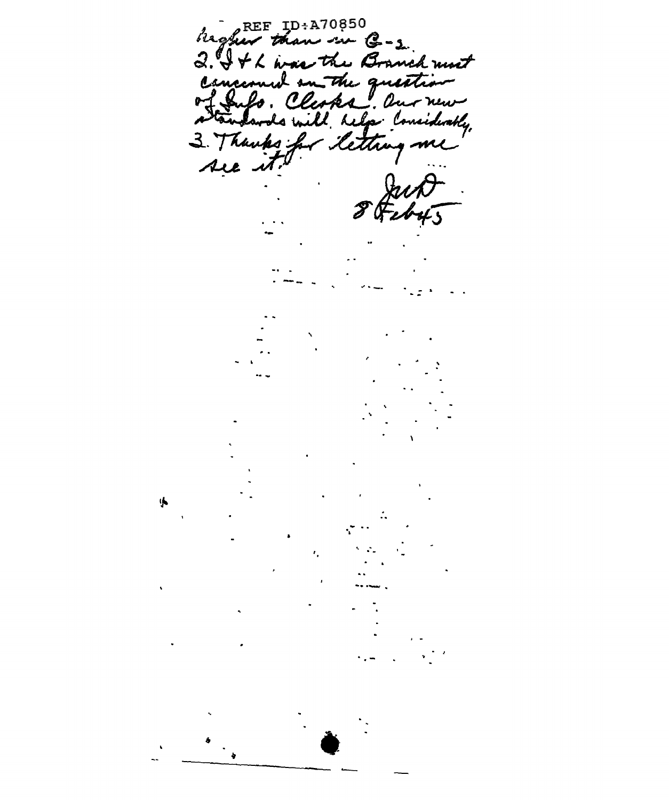higher than in G-2.<br>2. It have the Branch must Cancional on the question Thanks for<br>we it. lettre  $\mathbf{3}$ . me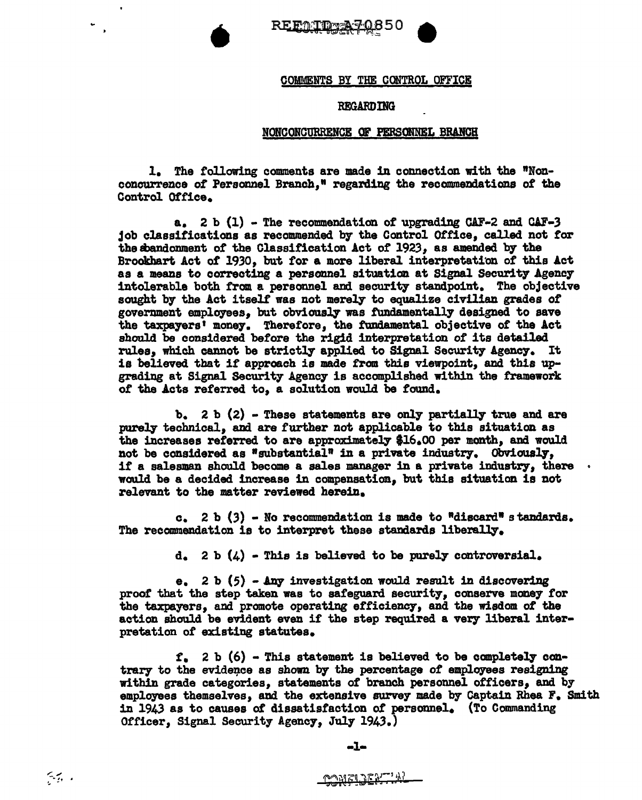



## COMMENTS BY THE CONTROL OFFICE

## **REGARDING**

## NONCONCURRENCE OF PERSONNEL BRANCH

1. The following comments are made in connection with the "Nonconcurrence of Personnel Branch." regarding the recommendations of the Control Office.

a. 2 b  $(1)$  - The recommendation of upgrading CAF-2 and CAF-3 job classifications as recommended by the Control Office, called not for the sbandonment of the Classification Act of 1923, as amended by the Brookhart Act of 1930, but for a more liberal interpretation of this Act as a means to correcting a personnel situation at Signal Security Agency intolerable both from a personnel and security standpoint. The objective sought by the Act itself was not merely to equalize civilian grades of government employees. but obviously was fundamentally designed to save the taxpayers' money. Therefore, the fundamental objective of the Act should be considered before the rigid interpretation of its detailed rules, which cannot be strictly applied to Signal Security Agency. It is believed that if approach is made from this viewpoint, and this upgrading at Signal Security Agency is accomplished within the framework of the Acts referred to, a solution would be found.

 $b. 2 b. (2)$  - These statements are only partially true and are purely technical, and are further not applicable to this situation as the increases referred to are approximately \$16.00 per month, and would not be considered as "substantial" in a private industry. Obviously, if a salesman should become a sales manager in a private industry, there would be a decided increase in compensation, but this situation is not relevant to the matter reviewed herein.

c. 2 b  $(3)$  - No recommendation is made to "discard" standards. The recommendation is to interpret these standards liberally.

 $d_a$  2 b  $(4)$  - This is believed to be purely controversial.

e. 2 b  $(5)$  - Any investigation would result in discovering proof that the step taken was to safeguard security, conserve money for the taxpayers, and promote operating efficiency, and the wisdom of the action should be evident even if the step required a very liberal interpretation of existing statutes.

 $f_a$  2 b (6) - This statement is believed to be completely contrary to the evidence as shown by the percentage of employees resigning within grade categories, statements of branch personnel officers, and by employees themselves, and the extensive survey made by Captain Rhea F. Smith in 1943 as to causes of dissatisfaction of personnel. (To Commanding Officer, Signal Security Agency, July 1943.)